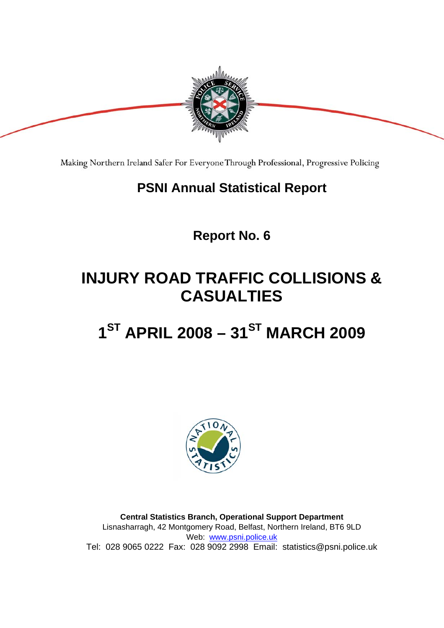

Making Northern Ireland Safer For Everyone Through Professional, Progressive Policing

## **PSNI Annual Statistical Report**

**Report No. 6** 

## **INJURY ROAD TRAFFIC COLLISIONS & CASUALTIES**

# 1<sup>ST</sup> APRIL 2008 – 31<sup>ST</sup> MARCH 2009



**Central Statistics Branch, Operational Support Department**  Lisnasharragh, 42 Montgomery Road, Belfast, Northern Ireland, BT6 9LD Web: www.psni.police.uk Tel: 028 9065 0222 Fax: 028 9092 2998 Email: statistics@psni.police.uk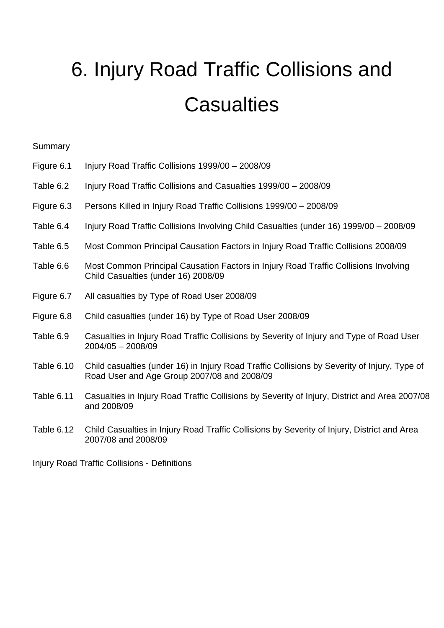# 6. Injury Road Traffic Collisions and **Casualties**

#### Summary

| Figure 6.1 |  | Injury Road Traffic Collisions 1999/00 - 2008/09 |  |
|------------|--|--------------------------------------------------|--|
|            |  |                                                  |  |

- Table 6.2 Injury Road Traffic Collisions and Casualties 1999/00 2008/09
- Figure 6.3 Persons Killed in Injury Road Traffic Collisions 1999/00 2008/09
- Table 6.4 Injury Road Traffic Collisions Involving Child Casualties (under 16) 1999/00 2008/09
- Table 6.5 Most Common Principal Causation Factors in Injury Road Traffic Collisions 2008/09
- Table 6.6 Most Common Principal Causation Factors in Injury Road Traffic Collisions Involving Child Casualties (under 16) 2008/09
- Figure 6.7 All casualties by Type of Road User 2008/09
- Figure 6.8 Child casualties (under 16) by Type of Road User 2008/09
- Table 6.9 Casualties in Injury Road Traffic Collisions by Severity of Injury and Type of Road User 2004/05 – 2008/09
- Table 6.10 Child casualties (under 16) in Injury Road Traffic Collisions by Severity of Injury, Type of Road User and Age Group 2007/08 and 2008/09
- Table 6.11 Casualties in Injury Road Traffic Collisions by Severity of Injury, District and Area 2007/08 and 2008/09
- Table 6.12 Child Casualties in Injury Road Traffic Collisions by Severity of Injury, District and Area 2007/08 and 2008/09

Injury Road Traffic Collisions - Definitions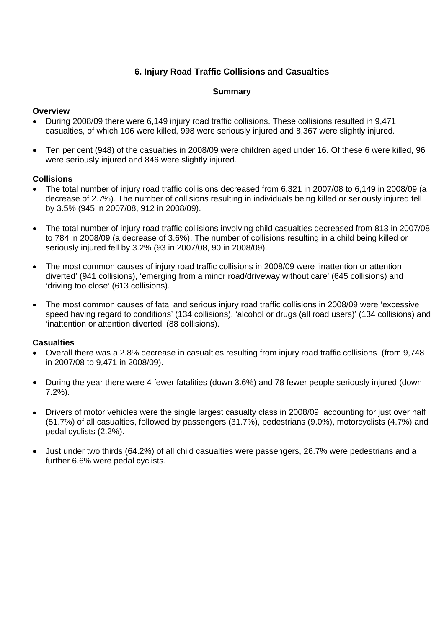#### **6. Injury Road Traffic Collisions and Casualties**

#### **Summary**

#### **Overview**

- During 2008/09 there were 6,149 injury road traffic collisions. These collisions resulted in 9,471 casualties, of which 106 were killed, 998 were seriously injured and 8,367 were slightly injured.
- Ten per cent (948) of the casualties in 2008/09 were children aged under 16. Of these 6 were killed, 96 were seriously injured and 846 were slightly injured.

#### **Collisions**

- The total number of injury road traffic collisions decreased from 6,321 in 2007/08 to 6,149 in 2008/09 (a decrease of 2.7%). The number of collisions resulting in individuals being killed or seriously injured fell by 3.5% (945 in 2007/08, 912 in 2008/09).
- The total number of injury road traffic collisions involving child casualties decreased from 813 in 2007/08 to 784 in 2008/09 (a decrease of 3.6%). The number of collisions resulting in a child being killed or seriously injured fell by 3.2% (93 in 2007/08, 90 in 2008/09).
- The most common causes of injury road traffic collisions in 2008/09 were 'inattention or attention diverted' (941 collisions), 'emerging from a minor road/driveway without care' (645 collisions) and 'driving too close' (613 collisions).
- The most common causes of fatal and serious injury road traffic collisions in 2008/09 were 'excessive speed having regard to conditions' (134 collisions), 'alcohol or drugs (all road users)' (134 collisions) and 'inattention or attention diverted' (88 collisions).

#### **Casualties**

- Overall there was a 2.8% decrease in casualties resulting from injury road traffic collisions (from 9,748 in 2007/08 to 9,471 in 2008/09).
- During the year there were 4 fewer fatalities (down 3.6%) and 78 fewer people seriously injured (down 7.2%).
- Drivers of motor vehicles were the single largest casualty class in 2008/09, accounting for just over half (51.7%) of all casualties, followed by passengers (31.7%), pedestrians (9.0%), motorcyclists (4.7%) and pedal cyclists (2.2%).
- Just under two thirds (64.2%) of all child casualties were passengers, 26.7% were pedestrians and a further 6.6% were pedal cyclists.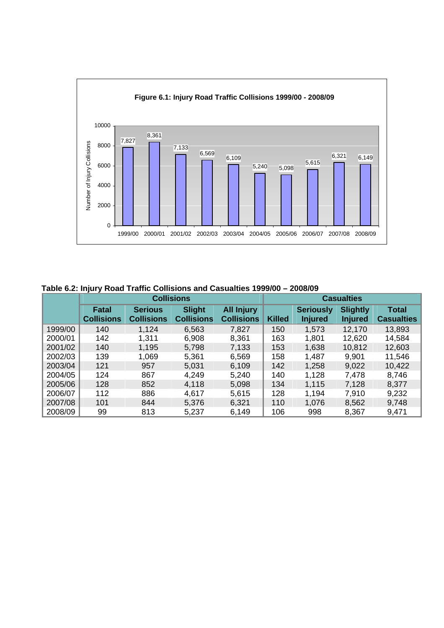

 **Table 6.2: Injury Road Traffic Collisions and Casualties 1999/00 – 2008/09** 

|         | <b>Collisions</b>          |                                     |                                    |                                        |               | <b>Casualties</b>                  |                                   |                            |  |  |
|---------|----------------------------|-------------------------------------|------------------------------------|----------------------------------------|---------------|------------------------------------|-----------------------------------|----------------------------|--|--|
|         | Fatal<br><b>Collisions</b> | <b>Serious</b><br><b>Collisions</b> | <b>Slight</b><br><b>Collisions</b> | <b>All Injury</b><br><b>Collisions</b> | <b>Killed</b> | <b>Seriously</b><br><b>Injured</b> | <b>Slightly</b><br><b>Injured</b> | Total<br><b>Casualties</b> |  |  |
| 1999/00 | 140                        | 1,124                               | 6,563                              | 7,827                                  | 150           | 1,573                              | 12,170                            | 13,893                     |  |  |
| 2000/01 | 142                        | 1,311                               | 6,908                              | 8,361                                  | 163           | 1,801                              | 12,620                            | 14,584                     |  |  |
| 2001/02 | 140                        | 1,195                               | 5,798                              | 7,133                                  | 153           | 1,638                              | 10,812                            | 12,603                     |  |  |
| 2002/03 | 139                        | 1,069                               | 5,361                              | 6,569                                  | 158           | 1,487                              | 9,901                             | 11,546                     |  |  |
| 2003/04 | 121                        | 957                                 | 5,031                              | 6,109                                  | 142           | 1,258                              | 9,022                             | 10,422                     |  |  |
| 2004/05 | 124                        | 867                                 | 4,249                              | 5,240                                  | 140           | 1,128                              | 7,478                             | 8,746                      |  |  |
| 2005/06 | 128                        | 852                                 | 4,118                              | 5,098                                  | 134           | 1,115                              | 7,128                             | 8,377                      |  |  |
| 2006/07 | 112                        | 886                                 | 4,617                              | 5,615                                  | 128           | 1,194                              | 7,910                             | 9,232                      |  |  |
| 2007/08 | 101                        | 844                                 | 5,376                              | 6,321                                  | 110           | 1,076                              | 8,562                             | 9,748                      |  |  |
| 2008/09 | 99                         | 813                                 | 5,237                              | 6,149                                  | 106           | 998                                | 8,367                             | 9,471                      |  |  |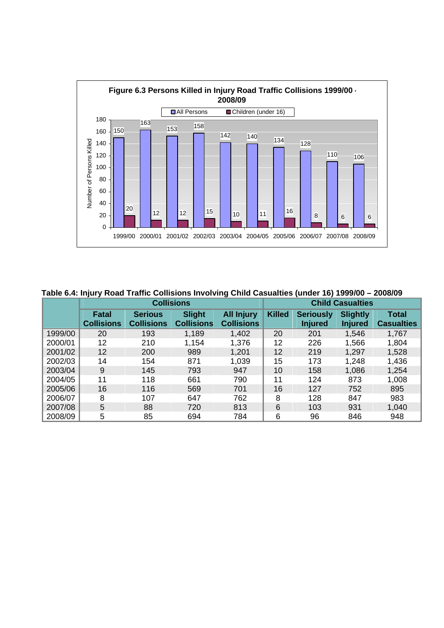

 **Table 6.4: Injury Road Traffic Collisions Involving Child Casualties (under 16) 1999/00 – 2008/09** 

|         | <b>Collisions</b>          |                                     |                                    |                                        |               | <b>Child Casualties</b>            |                                   |                            |  |  |  |
|---------|----------------------------|-------------------------------------|------------------------------------|----------------------------------------|---------------|------------------------------------|-----------------------------------|----------------------------|--|--|--|
|         | Fatal<br><b>Collisions</b> | <b>Serious</b><br><b>Collisions</b> | <b>Slight</b><br><b>Collisions</b> | <b>All Injury</b><br><b>Collisions</b> | <b>Killed</b> | <b>Seriously</b><br><b>Injured</b> | <b>Slightly</b><br><b>Injured</b> | Total<br><b>Casualties</b> |  |  |  |
| 1999/00 | 20                         | 193                                 | 1,189                              | 1,402                                  | 20            | 201                                | 1,546                             | 1,767                      |  |  |  |
| 2000/01 | 12                         | 210                                 | 1,154                              | 1,376                                  | 12            | 226                                | 1,566                             | 1,804                      |  |  |  |
| 2001/02 | 12                         | 200                                 | 989                                | 1,201                                  | 12            | 219                                | 1,297                             | 1,528                      |  |  |  |
| 2002/03 | 14                         | 154                                 | 871                                | 1,039                                  | 15            | 173                                | 1,248                             | 1,436                      |  |  |  |
| 2003/04 | 9                          | 145                                 | 793                                | 947                                    | 10            | 158                                | 1,086                             | 1,254                      |  |  |  |
| 2004/05 | 11                         | 118                                 | 661                                | 790                                    | 11            | 124                                | 873                               | 1,008                      |  |  |  |
| 2005/06 | 16                         | 116                                 | 569                                | 701                                    | 16            | 127                                | 752                               | 895                        |  |  |  |
| 2006/07 | 8                          | 107                                 | 647                                | 762                                    | 8             | 128                                | 847                               | 983                        |  |  |  |
| 2007/08 | 5                          | 88                                  | 720                                | 813                                    | 6             | 103                                | 931                               | 1,040                      |  |  |  |
| 2008/09 | 5                          | 85                                  | 694                                | 784                                    | 6             | 96                                 | 846                               | 948                        |  |  |  |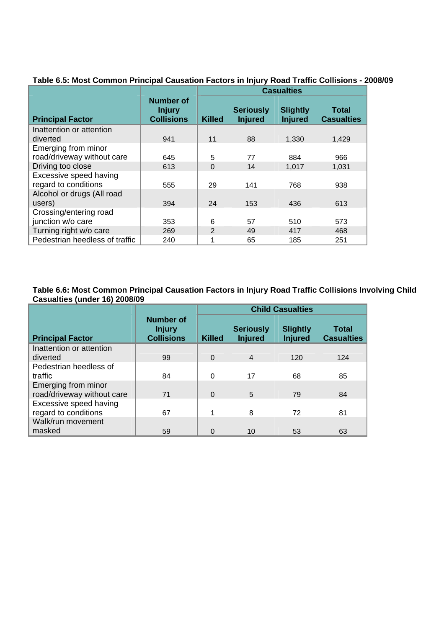|                                |                                                 | <b>Casualties</b> |                                    |                                   |                                   |  |  |
|--------------------------------|-------------------------------------------------|-------------------|------------------------------------|-----------------------------------|-----------------------------------|--|--|
| <b>Principal Factor</b>        | Number of<br><b>Injury</b><br><b>Collisions</b> | <b>Killed</b>     | <b>Seriously</b><br><b>Injured</b> | <b>Slightly</b><br><b>Injured</b> | <b>Total</b><br><b>Casualties</b> |  |  |
| Inattention or attention       |                                                 |                   |                                    |                                   |                                   |  |  |
| diverted                       | 941                                             | 11                | 88                                 | 1,330                             | 1,429                             |  |  |
| Emerging from minor            |                                                 |                   |                                    |                                   |                                   |  |  |
| road/driveway without care     | 645                                             | 5                 | 77                                 | 884                               | 966                               |  |  |
| Driving too close              | 613                                             | 0                 | 14                                 | 1,017                             | 1,031                             |  |  |
| Excessive speed having         |                                                 |                   |                                    |                                   |                                   |  |  |
| regard to conditions           | 555                                             | 29                | 141                                | 768                               | 938                               |  |  |
| Alcohol or drugs (All road     |                                                 |                   |                                    |                                   |                                   |  |  |
| users)                         | 394                                             | 24                | 153                                | 436                               | 613                               |  |  |
| Crossing/entering road         |                                                 |                   |                                    |                                   |                                   |  |  |
| junction w/o care              | 353                                             | 6                 | 57                                 | 510                               | 573                               |  |  |
| Turning right w/o care         | 269                                             | 2                 | 49                                 | 417                               | 468                               |  |  |
| Pedestrian heedless of traffic | 240                                             | 1                 | 65                                 | 185                               | 251                               |  |  |

### **Table 6.5: Most Common Principal Causation Factors in Injury Road Traffic Collisions - 2008/09**

**Table 6.6: Most Common Principal Causation Factors in Injury Road Traffic Collisions Involving Child Casualties (under 16) 2008/09** 

|                                                   |                                                        | <b>Child Casualties</b> |                                    |                                   |                            |  |  |  |
|---------------------------------------------------|--------------------------------------------------------|-------------------------|------------------------------------|-----------------------------------|----------------------------|--|--|--|
| <b>Principal Factor</b>                           | <b>Number of</b><br><b>Injury</b><br><b>Collisions</b> | <b>Killed</b>           | <b>Seriously</b><br><b>Injured</b> | <b>Slightly</b><br><b>Injured</b> | Total<br><b>Casualties</b> |  |  |  |
| Inattention or attention                          |                                                        |                         |                                    |                                   |                            |  |  |  |
| diverted                                          | 99                                                     | $\Omega$                | $\overline{4}$                     | 120                               | 124                        |  |  |  |
| Pedestrian heedless of                            |                                                        |                         |                                    |                                   |                            |  |  |  |
| traffic                                           | 84                                                     | 0                       | 17                                 | 68                                | 85                         |  |  |  |
| Emerging from minor<br>road/driveway without care | 71                                                     | $\Omega$                | $\overline{5}$                     | 79                                | 84                         |  |  |  |
| Excessive speed having<br>regard to conditions    | 67                                                     | 1                       | 8                                  | 72                                | 81                         |  |  |  |
| Walk/run movement                                 |                                                        |                         |                                    |                                   |                            |  |  |  |
| masked                                            | 59                                                     | 0                       | 10                                 | 53                                | 63                         |  |  |  |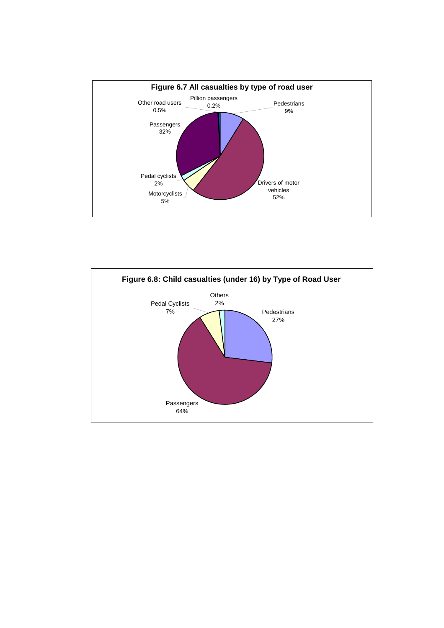

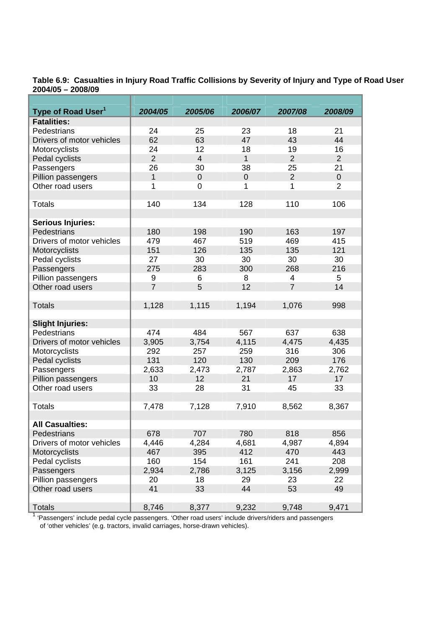**Table 6.9: Casualties in Injury Road Traffic Collisions by Severity of Injury and Type of Road User 2004/05 – 2008/09** 

| Type of Road User <sup>1</sup> | 2004/05        | 2005/06        | 2006/07      | 2007/08        | 2008/09     |
|--------------------------------|----------------|----------------|--------------|----------------|-------------|
| <b>Fatalities:</b>             |                |                |              |                |             |
| Pedestrians                    | 24             | 25             | 23           | 18             | 21          |
| Drivers of motor vehicles      | 62             | 63             | 47           | 43             | 44          |
| Motorcyclists                  | 24             | 12             | 18           | 19             | 16          |
| Pedal cyclists                 | $\overline{2}$ | $\overline{4}$ | $\mathbf{1}$ | $\overline{2}$ | 2           |
| Passengers                     | 26             | 30             | 38           | 25             | 21          |
| Pillion passengers             | 1              | $\mathbf 0$    | $\pmb{0}$    | $\overline{2}$ | $\mathbf 0$ |
| Other road users               | 1              | 0              | 1            | 1              | 2           |
|                                |                |                |              |                |             |
| <b>Totals</b>                  | 140            | 134            | 128          | 110            | 106         |
|                                |                |                |              |                |             |
| <b>Serious Injuries:</b>       |                |                |              |                |             |
| Pedestrians                    | 180            | 198            | 190          | 163            | 197         |
| Drivers of motor vehicles      | 479            | 467            | 519          | 469            | 415         |
| Motorcyclists                  | 151            | 126            | 135          | 135            | 121         |
| Pedal cyclists                 | 27             | 30             | 30           | 30             | 30          |
| Passengers                     | 275            | 283            | 300          | 268            | 216         |
| Pillion passengers             | 9              | 6              | 8            | 4              | 5           |
| Other road users               | $\overline{7}$ | 5              | 12           | $\overline{7}$ | 14          |
|                                |                |                |              |                |             |
| <b>Totals</b>                  | 1,128          | 1,115          | 1,194        | 1,076          | 998         |
|                                |                |                |              |                |             |
| <b>Slight Injuries:</b>        |                |                |              |                |             |
| Pedestrians                    | 474            | 484            | 567          | 637            | 638         |
| Drivers of motor vehicles      | 3,905          | 3,754          | 4,115        | 4,475          | 4,435       |
| Motorcyclists                  | 292            | 257            | 259          | 316            | 306         |
| Pedal cyclists                 | 131            | 120            | 130          | 209            | 176         |
| Passengers                     | 2,633          | 2,473          | 2,787        | 2,863          | 2,762       |
| Pillion passengers             | 10             | 12             | 21           | 17             | 17          |
| Other road users               | 33             | 28             | 31           | 45             | 33          |
|                                |                |                |              |                |             |
| <b>Totals</b>                  | 7,478          | 7,128          | 7,910        | 8,562          | 8,367       |
|                                |                |                |              |                |             |
| <b>All Casualties:</b>         |                |                |              |                |             |
| Pedestrians                    | 678            | 707            | 780          | 818            | 856         |
| Drivers of motor vehicles      | 4,446          | 4,284          | 4,681        | 4,987          | 4,894       |
| Motorcyclists                  | 467            | 395            | 412          | 470            | 443         |
| Pedal cyclists                 | 160            | 154            | 161          | 241            | 208         |
| Passengers                     | 2,934          | 2,786          | 3,125        | 3,156          | 2,999       |
| Pillion passengers             | 20             | 18             | 29           | 23             | 22          |
| Other road users               | 41             | 33             | 44           | 53             | 49          |
|                                |                |                |              |                |             |
| <b>Totals</b>                  | 8,746          | 8,377          | 9,232        | 9,748          | 9,471       |

<sup>1</sup> 'Passengers' include pedal cycle passengers. 'Other road users' include drivers/riders and passengers of 'other vehicles' (e.g. tractors, invalid carriages, horse-drawn vehicles).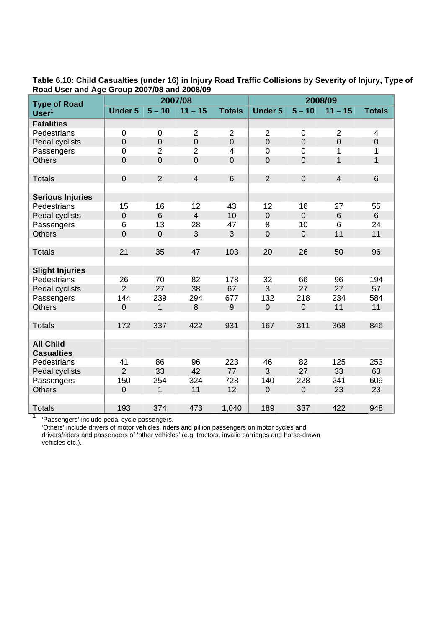| <b>Type of Road</b>     |                |                | 2007/08        |                | 2008/09          |                |                |                 |  |
|-------------------------|----------------|----------------|----------------|----------------|------------------|----------------|----------------|-----------------|--|
| Use <sup>1</sup>        | <b>Under 5</b> | $5 - 10$       | $11 - 15$      | <b>Totals</b>  | <b>Under 5</b>   | $5 - 10$       | $11 - 15$      | <b>Totals</b>   |  |
| <b>Fatalities</b>       |                |                |                |                |                  |                |                |                 |  |
| Pedestrians             | $\overline{0}$ | $\mathbf 0$    | $\overline{2}$ | $\overline{2}$ | $\overline{2}$   | $\mathbf 0$    | $\overline{2}$ | $\overline{4}$  |  |
| Pedal cyclists          | $\mathbf 0$    | $\overline{0}$ | $\mathbf 0$    | $\overline{0}$ | $\overline{0}$   | $\mathbf 0$    | $\overline{0}$ | $\mathbf 0$     |  |
| Passengers              | $\mathbf 0$    | $\overline{2}$ | $\overline{2}$ | 4              | $\mathbf 0$      | $\mathbf 0$    | 1              | 1               |  |
| <b>Others</b>           | $\mathbf 0$    | $\mathbf 0$    | $\overline{0}$ | $\mathbf 0$    | $\mathbf 0$      | $\pmb{0}$      | $\overline{1}$ | $\mathbf{1}$    |  |
|                         |                |                |                |                |                  |                |                |                 |  |
| <b>Totals</b>           | $\mathbf 0$    | $\overline{2}$ | $\overline{4}$ | 6              | $\overline{2}$   | $\mathbf 0$    | $\overline{4}$ | $6\phantom{1}$  |  |
|                         |                |                |                |                |                  |                |                |                 |  |
| <b>Serious Injuries</b> |                |                |                |                |                  |                |                |                 |  |
| Pedestrians             | 15             | 16             | 12             | 43             | 12               | 16             | 27             | 55              |  |
| Pedal cyclists          | $\mathbf 0$    | 6              | $\overline{4}$ | 10             | $\boldsymbol{0}$ | $\mathbf 0$    | 6              | $6\overline{6}$ |  |
| Passengers              | 6              | 13             | 28             | 47             | 8                | 10             | 6              | 24              |  |
| <b>Others</b>           | $\overline{0}$ | $\mathbf 0$    | 3              | 3              | $\overline{0}$   | $\mathbf 0$    | 11             | 11              |  |
|                         |                |                |                |                |                  |                |                |                 |  |
| <b>Totals</b>           | 21             | 35             | 47             | 103            | 20               | 26             | 50             | 96              |  |
|                         |                |                |                |                |                  |                |                |                 |  |
| <b>Slight Injuries</b>  |                |                |                |                |                  |                |                |                 |  |
| Pedestrians             | 26             | 70             | 82             | 178            | 32               | 66             | 96             | 194             |  |
| Pedal cyclists          | $\overline{2}$ | 27             | 38             | 67             | $\overline{3}$   | 27             | 27             | 57              |  |
| Passengers              | 144            | 239            | 294            | 677            | 132              | 218            | 234            | 584             |  |
| <b>Others</b>           | $\overline{0}$ | 1              | 8              | 9              | $\overline{0}$   | $\overline{0}$ | 11             | 11              |  |
|                         |                |                |                |                |                  |                |                |                 |  |
| <b>Totals</b>           | 172            | 337            | 422            | 931            | 167              | 311            | 368            | 846             |  |
|                         |                |                |                |                |                  |                |                |                 |  |
| <b>All Child</b>        |                |                |                |                |                  |                |                |                 |  |
| <b>Casualties</b>       |                |                |                |                |                  |                |                |                 |  |
| Pedestrians             | 41             | 86             | 96             | 223            | 46               | 82             | 125            | 253             |  |
| Pedal cyclists          | $\overline{2}$ | 33             | 42             | 77             | 3                | 27             | 33             | 63              |  |
| Passengers              | 150            | 254            | 324            | 728            | 140              | 228            | 241            | 609             |  |
| <b>Others</b>           | $\overline{0}$ | $\overline{1}$ | 11             | 12             | $\overline{0}$   | $\overline{0}$ | 23             | 23              |  |
|                         |                |                |                |                |                  |                |                |                 |  |
| <b>Totals</b>           | 193            | 374            | 473            | 1,040          | 189              | 337            | 422            | 948             |  |
| $\overline{a}$          |                |                |                |                |                  |                |                |                 |  |

**Table 6.10: Child Casualties (under 16) in Injury Road Traffic Collisions by Severity of Injury, Type of Road User and Age Group 2007/08 and 2008/09** 

'Passengers' include pedal cycle passengers.

 'Others' include drivers of motor vehicles, riders and pillion passengers on motor cycles and drivers/riders and passengers of 'other vehicles' (e.g. tractors, invalid carriages and horse-drawn vehicles etc.).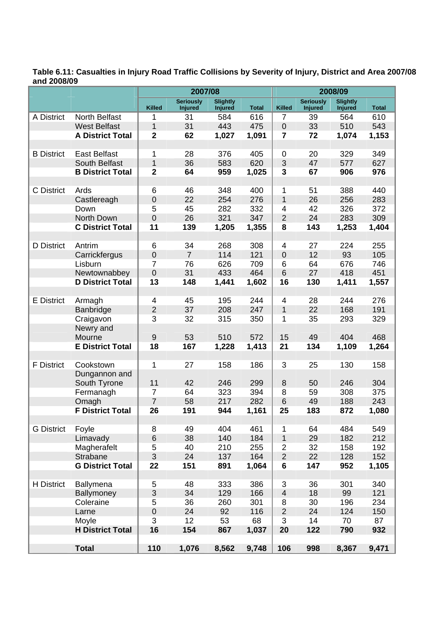#### **Table 6.11: Casualties in Injury Road Traffic Collisions by Severity of Injury, District and Area 2007/08 and 2008/09**

|                   |                         |                         | 2007/08                            |                                   |              |                           | 2008/09                            |                                   |              |
|-------------------|-------------------------|-------------------------|------------------------------------|-----------------------------------|--------------|---------------------------|------------------------------------|-----------------------------------|--------------|
|                   |                         | <b>Killed</b>           | <b>Seriously</b><br><b>Injured</b> | <b>Slightly</b><br><b>Injured</b> | <b>Total</b> | <b>Killed</b>             | <b>Seriously</b><br><b>Injured</b> | <b>Slightly</b><br><b>Injured</b> | <b>Total</b> |
| A District        | North Belfast           | 1                       | 31                                 | 584                               | 616          | $\overline{7}$            | 39                                 | 564                               | 610          |
|                   | <b>West Belfast</b>     | 1                       | 31                                 | 443                               | 475          | $\boldsymbol{0}$          | 33                                 | 510                               | 543          |
|                   | <b>A District Total</b> | $\overline{\mathbf{2}}$ | 62                                 | 1,027                             | 1,091        | $\overline{7}$            | 72                                 | 1,074                             | 1,153        |
|                   |                         |                         |                                    |                                   |              |                           |                                    |                                   |              |
| <b>B</b> District | <b>East Belfast</b>     | 1                       | 28                                 | 376                               | 405          | $\mathbf 0$               | 20                                 | 329                               | 349          |
|                   | South Belfast           | $\mathbf{1}$            | 36                                 | 583                               | 620          | $\sqrt{3}$                | 47                                 | 577                               | 627          |
|                   | <b>B District Total</b> | $\overline{2}$          | 64                                 | 959                               | 1,025        | 3                         | 67                                 | 906                               | 976          |
|                   |                         |                         |                                    |                                   |              |                           |                                    |                                   |              |
| C District        | Ards                    | 6                       | 46                                 | 348                               | 400          | 1                         | 51                                 | 388                               | 440          |
|                   | Castlereagh             | $\boldsymbol{0}$        | 22                                 | 254                               | 276          | $\mathbf{1}$              | 26                                 | 256                               | 283          |
|                   | Down                    | 5                       | 45                                 | 282                               | 332          | 4                         | 42                                 | 326                               | 372          |
|                   | North Down              | $\mathbf 0$             | 26                                 | 321                               | 347          | $\overline{2}$            | 24                                 | 283                               | 309          |
|                   | <b>C District Total</b> | 11                      | 139                                | 1,205                             | 1,355        | 8                         | 143                                | 1,253                             | 1,404        |
|                   |                         |                         |                                    |                                   |              |                           |                                    |                                   |              |
| D District        | Antrim                  | 6                       | 34                                 | 268                               | 308          | $\overline{4}$            | 27                                 | 224                               | 255          |
|                   | Carrickfergus           | $\mathbf 0$             | $\overline{7}$                     | 114                               | 121          | $\mathbf 0$               | 12                                 | 93                                | 105          |
|                   | Lisburn                 | $\overline{7}$          | 76                                 | 626                               | 709          | 6                         | 64                                 | 676                               | 746          |
|                   | Newtownabbey            | $\mathbf 0$             | 31                                 | 433                               | 464          | 6                         | 27                                 | 418                               | 451          |
|                   | <b>D District Total</b> | 13                      | 148                                | 1,441                             | 1,602        | 16                        | 130                                | 1,411                             | 1,557        |
|                   |                         |                         |                                    |                                   |              |                           |                                    |                                   |              |
| <b>E</b> District | Armagh                  | 4                       | 45                                 | 195                               | 244          | 4                         | 28                                 | 244                               | 276          |
|                   | Banbridge               | $\overline{2}$          | 37                                 | 208                               | 247          | $\mathbf{1}$              | 22                                 | 168                               | 191          |
|                   | Craigavon               | 3                       | 32                                 | 315                               | 350          | 1                         | 35                                 | 293                               | 329          |
|                   | Newry and               |                         |                                    |                                   |              |                           |                                    |                                   |              |
|                   | Mourne                  | $9$                     | 53                                 | 510                               | 572          | 15                        | 49                                 | 404                               | 468          |
|                   | <b>E District Total</b> | 18                      | 167                                | 1,228                             | 1,413        | 21                        | 134                                | 1,109                             | 1,264        |
|                   |                         |                         |                                    |                                   |              |                           |                                    |                                   |              |
| <b>F</b> District | Cookstown               | 1                       | 27                                 | 158                               | 186          | 3                         | 25                                 | 130                               | 158          |
|                   | Dungannon and           |                         |                                    |                                   |              |                           |                                    |                                   |              |
|                   | South Tyrone            | 11                      | 42                                 | 246                               | 299          | $\,8\,$                   | 50                                 | 246                               | 304          |
|                   | Fermanagh               | $\overline{7}$          | 64                                 | 323                               | 394          | 8                         | 59                                 | 308                               | 375          |
|                   | Omagh                   | $\overline{7}$          | 58                                 | 217                               | 282          | 6                         | 49                                 | 188                               | 243          |
|                   | <b>F District Total</b> | 26                      | 191                                | 944                               | 1,161        | 25                        | 183                                | 872                               | 1,080        |
|                   |                         |                         |                                    |                                   |              |                           |                                    |                                   |              |
| <b>G</b> District | Foyle                   | 8                       | 49                                 | 404                               | 461          | 1                         | 64                                 | 484                               | 549          |
|                   | Limavady                | 6                       | 38                                 | 140                               | 184          | $\mathbf{1}$              | 29                                 | 182                               | 212          |
|                   | Magherafelt             | 5                       | 40                                 | 210                               | 255          | $\overline{2}$            | 32                                 | 158                               | 192          |
|                   | Strabane                | 3                       | 24                                 | 137                               | 164          | $\overline{c}$            | 22                                 | 128                               | 152          |
|                   | <b>G District Total</b> | 22                      | 151                                | 891                               | 1,064        | $\bf 6$                   | 147                                | 952                               | 1,105        |
|                   |                         |                         |                                    |                                   |              |                           |                                    |                                   |              |
| H District        | Ballymena               | 5                       | 48                                 | 333                               | 386          | $\ensuremath{\mathsf{3}}$ | 36                                 | 301                               | 340          |
|                   | Ballymoney              | $\mathsf 3$             | 34                                 | 129                               | 166          | $\overline{4}$            | 18                                 | 99                                | 121          |
|                   | Coleraine               | 5                       | 36                                 | 260                               | 301          | 8                         | 30                                 | 196                               | 234          |
|                   | Larne                   | $\mathbf 0$             | 24                                 | 92                                | 116          | $\overline{2}$            | 24                                 | 124                               | 150          |
|                   | Moyle                   | 3                       | 12                                 | 53                                | 68           | 3                         | 14                                 | 70                                | 87           |
|                   | <b>H District Total</b> | 16                      | 154                                | 867                               | 1,037        | 20                        | 122                                | 790                               | 932          |
|                   |                         |                         |                                    |                                   |              |                           |                                    |                                   |              |
|                   | <b>Total</b>            | 110                     | 1,076                              | 8,562                             | 9,748        | 106                       | 998                                | 8,367                             | 9,471        |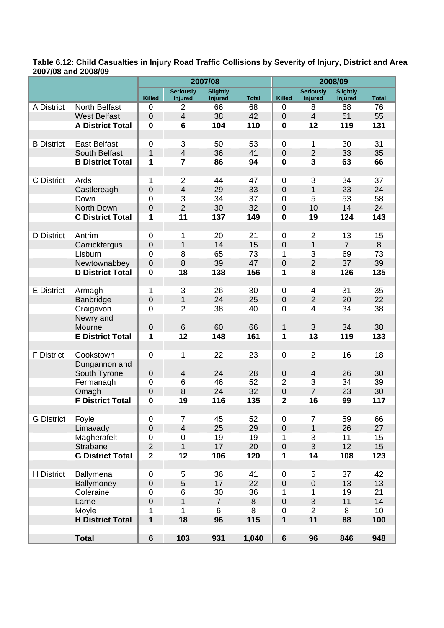**Table 6.12: Child Casualties in Injury Road Traffic Collisions by Severity of Injury, District and Area 2007/08 and 2008/09** 

|                   |                         |                         |                                    | 2007/08                           |              | 2008/09          |                                    |                                   |              |
|-------------------|-------------------------|-------------------------|------------------------------------|-----------------------------------|--------------|------------------|------------------------------------|-----------------------------------|--------------|
|                   |                         | <b>Killed</b>           | <b>Seriously</b><br><b>Injured</b> | <b>Slightly</b><br><b>Injured</b> | <b>Total</b> | <b>Killed</b>    | <b>Seriously</b><br><b>Injured</b> | <b>Slightly</b><br><b>Injured</b> | <b>Total</b> |
| A District        | <b>North Belfast</b>    | $\mathbf 0$             | $\overline{2}$                     | 66                                | 68           | 0                | 8                                  | 68                                | 76           |
|                   | <b>West Belfast</b>     | $\mathbf 0$             | $\overline{4}$                     | 38                                | 42           | $\mathbf 0$      | $\overline{4}$                     | 51                                | 55           |
|                   | <b>A District Total</b> | $\bf{0}$                | $6\phantom{1}6$                    | 104                               | 110          | $\bf{0}$         | 12                                 | 119                               | 131          |
|                   |                         |                         |                                    |                                   |              |                  |                                    |                                   |              |
| <b>B</b> District | <b>East Belfast</b>     | $\mathbf 0$             | 3                                  | 50                                | 53           | $\mathbf 0$      | 1                                  | 30                                | 31           |
|                   | South Belfast           | $\mathbf{1}$            | $\overline{4}$                     | 36                                | 41           | $\mathbf 0$      | $\overline{2}$                     | 33                                | 35           |
|                   | <b>B District Total</b> | 1                       | $\overline{7}$                     | 86                                | 94           | $\bf{0}$         | $\overline{\mathbf{3}}$            | 63                                | 66           |
|                   |                         |                         |                                    |                                   |              |                  |                                    |                                   |              |
| C District        | Ards                    | 1                       | $\overline{2}$                     | 44                                | 47           | $\mathbf 0$      | 3                                  | 34                                | 37           |
|                   | Castlereagh             | $\mathbf 0$             | $\overline{4}$                     | 29                                | 33           | $\mathbf 0$      | 1                                  | 23                                | 24           |
|                   | Down                    | $\mathbf 0$             | 3                                  | 34                                | 37           | $\mathbf 0$      | 5                                  | 53                                | 58           |
|                   | North Down              | $\overline{0}$          | $\overline{2}$                     | 30                                | 32           | $\mathbf 0$      | 10                                 | 14                                | 24           |
|                   | <b>C District Total</b> | 1                       | 11                                 | 137                               | 149          | $\bf{0}$         | 19                                 | 124                               | 143          |
| D District        | Antrim                  | $\mathbf 0$             | 1                                  | 20                                | 21           | 0                | $\overline{2}$                     | 13                                | 15           |
|                   | Carrickfergus           | $\overline{0}$          | $\mathbf{1}$                       | 14                                | 15           | $\overline{0}$   | $\mathbf{1}$                       | $\overline{7}$                    | 8            |
|                   | Lisburn                 | $\mathbf 0$             | 8                                  | 65                                | 73           | 1                | 3                                  | 69                                | 73           |
|                   | Newtownabbey            | $\mathbf 0$             | 8                                  | 39                                | 47           | $\overline{0}$   | $\overline{2}$                     | 37                                | 39           |
|                   | <b>D District Total</b> | $\bf{0}$                | 18                                 | 138                               | 156          | 1                | 8                                  | 126                               | 135          |
|                   |                         |                         |                                    |                                   |              |                  |                                    |                                   |              |
| <b>E</b> District | Armagh                  | 1                       | 3                                  | 26                                | 30           | $\mathbf 0$      | 4                                  | 31                                | 35           |
|                   | Banbridge               | $\mathbf 0$             | 1                                  | 24                                | 25           | $\mathbf 0$      | $\overline{2}$                     | 20                                | 22           |
|                   | Craigavon               | $\mathbf 0$             | $\overline{2}$                     | 38                                | 40           | $\mathbf 0$      | 4                                  | 34                                | 38           |
|                   | Newry and               |                         |                                    |                                   |              |                  |                                    |                                   |              |
|                   | Mourne                  | $\mathbf 0$             | 6                                  | 60                                | 66           | $\mathbf 1$      | 3                                  | 34                                | 38           |
|                   | <b>E District Total</b> | 1                       | 12                                 | 148                               | 161          | 1                | 13                                 | 119                               | 133          |
|                   |                         |                         |                                    |                                   |              |                  |                                    |                                   |              |
| <b>F</b> District | Cookstown               | $\mathbf 0$             | 1                                  | 22                                | 23           | $\mathbf 0$      | $\overline{2}$                     | 16                                | 18           |
|                   | Dungannon and           |                         |                                    |                                   |              |                  |                                    |                                   |              |
|                   | South Tyrone            | $\mathbf 0$             | $\overline{4}$                     | 24                                | 28           | $\mathbf 0$      | $\overline{4}$                     | 26                                | 30           |
|                   | Fermanagh               | $\mathbf 0$             | 6                                  | 46                                | 52           | $\overline{2}$   | 3                                  | 34                                | 39           |
|                   | Omagh                   | $\mathbf 0$             | 8                                  | 24                                | 32           | $\mathbf 0$      | $\overline{7}$                     | 23                                | 30           |
|                   | <b>F District Total</b> | $\bf{0}$                | 19                                 | 116                               | 135          | $\mathbf{2}$     | 16                                 | 99                                | 117          |
| <b>G</b> District | Foyle                   | $\mathbf 0$             | $\overline{7}$                     | 45                                | 52           | $\mathbf 0$      | $\overline{7}$                     | 59                                | 66           |
|                   | Limavady                | $\mathbf 0$             | $\overline{4}$                     | 25                                | 29           | $\mathbf 0$      | $\mathbf{1}$                       | 26                                | 27           |
|                   | Magherafelt             | $\boldsymbol{0}$        | $\mathbf 0$                        | 19                                | 19           | 1                | 3                                  | 11                                | 15           |
|                   | Strabane                | $\overline{2}$          | $\mathbf{1}$                       | 17                                | 20           | $\mathbf 0$      | 3                                  | 12                                | 15           |
|                   | <b>G District Total</b> | $\overline{\mathbf{2}}$ | 12                                 | 106                               | 120          | 1                | 14                                 | 108                               | 123          |
|                   |                         |                         |                                    |                                   |              |                  |                                    |                                   |              |
| <b>H</b> District | Ballymena               | $\pmb{0}$               | 5                                  | 36                                | 41           | $\mathbf 0$      | 5                                  | 37                                | 42           |
|                   | Ballymoney              | $\boldsymbol{0}$        | 5                                  | 17                                | 22           | $\boldsymbol{0}$ | $\mathbf 0$                        | 13                                | 13           |
|                   | Coleraine               | $\pmb{0}$               | 6                                  | 30                                | 36           | 1                | 1                                  | 19                                | 21           |
|                   | Larne                   | $\mathbf 0$             | $\mathbf{1}$                       | $\overline{7}$                    | 8            | $\mathbf 0$      | 3                                  | 11                                | 14           |
|                   | Moyle                   | 1                       | $\mathbf{1}$                       | 6                                 | 8            | $\mathbf 0$      | $\overline{2}$                     | 8                                 | 10           |
|                   | <b>H District Total</b> | $\mathbf 1$             | 18                                 | 96                                | 115          | $\mathbf{1}$     | 11                                 | 88                                | 100          |
|                   |                         |                         |                                    |                                   |              |                  |                                    |                                   |              |
|                   | <b>Total</b>            | $\bf 6$                 | 103                                | 931                               | 1,040        | $6\phantom{a}$   | 96                                 | 846                               | 948          |